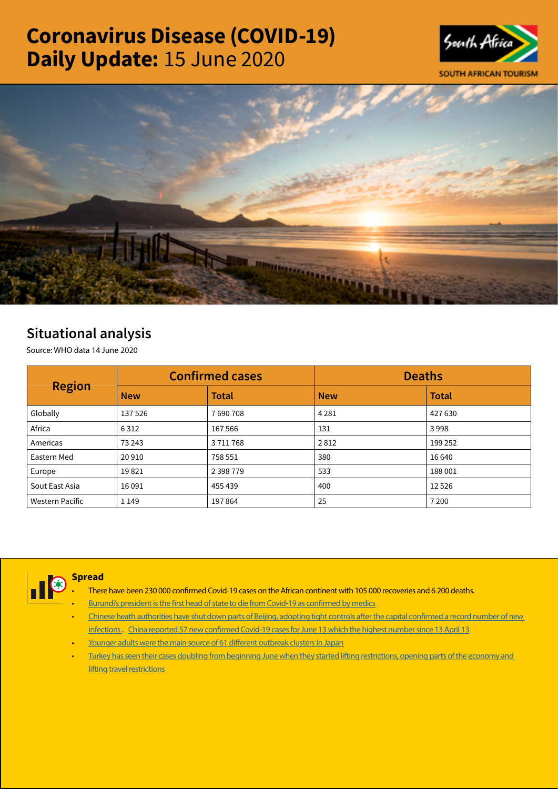# Coronavirus Disease (COVID-19) Daily Update: 15 June 2020





# Situational analysis

Source: WHO data 14 June 2020

| <b>Region</b>   |            | <b>Confirmed cases</b> | <b>Deaths</b> |              |  |
|-----------------|------------|------------------------|---------------|--------------|--|
|                 | <b>New</b> | <b>Total</b>           | <b>New</b>    | <b>Total</b> |  |
| Globally        | 137526     | 7690708                | 4 2 8 1       | 427 630      |  |
| Africa          | 6312       | 167 566                | 131           | 3998         |  |
| Americas        | 73 243     | 3711768                | 2812          | 199 252      |  |
| Eastern Med     | 20910      | 758 551                | 380           | 16 640       |  |
| Europe          | 19821      | 2 3 9 8 7 7 9          | 533           | 188 001      |  |
| Sout East Asia  | 16 0 91    | 455 439                | 400           | 12526        |  |
| Western Pacific | 1 1 4 9    | 197864                 | 25            | 7 2 0 0      |  |



# **Spread**

- There have been 230 000 confirmed Covid-19 cases on the African continent with 105 000 recoveries and 6 200 deaths.
- [Burundi's president is the first head of state to die from Covid-19 as confirmed by medics](https://t.co/GX65lpHBOo?amp=1)
- Chinese heath authorities have shut down parts of Beijing, adopting tight controls after the capital confirmed a record number of new [infections](https://t.co/CYx0GhUkQX?amp=1) . [China reported 57 new confirmed Covid-19 cases for June 13 which the highest number since 13 April 13](https://t.co/IlAxQawNrs?amp=1)
- [Younger adults were the main source of 61 different outbreak clusters in Japan](https://t.co/PbIQUnDXV0?amp=1)
- [Turkey has seen their cases doubling from beginning June when they started lifting restrictions, opening parts of the economy and](https://is.gd/6pWeR5)  **[lifting travel restrictions](https://is.gd/6pWeR5)**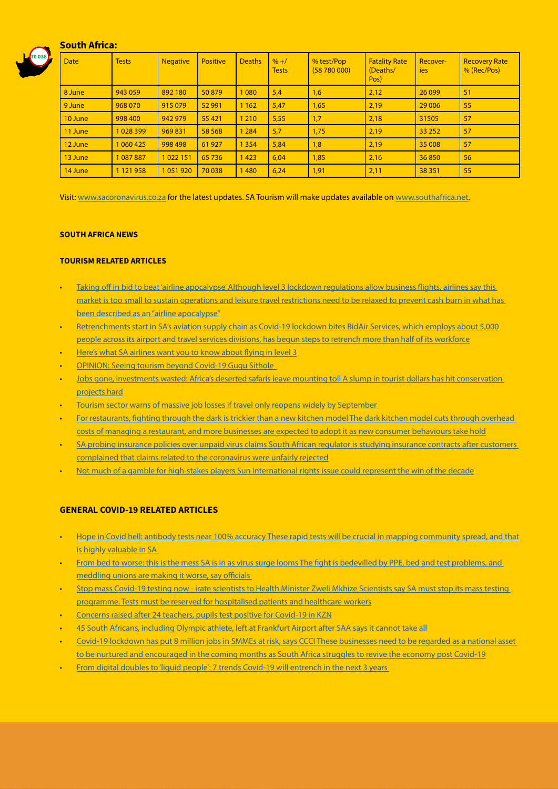# South Africa:



| <b>Date</b> | <b>Tests</b>  | <b>Negative</b> | <b>Positive</b> | <b>Deaths</b> | $% + /$<br><b>Tests</b> | % test/Pop<br>(58780000) | <b>Fatality Rate</b><br>(Deaths/<br>Pos) | Recover-<br><b>ies</b> | <b>Recovery Rate</b><br>% (Rec/Pos) |
|-------------|---------------|-----------------|-----------------|---------------|-------------------------|--------------------------|------------------------------------------|------------------------|-------------------------------------|
| 8 June      | 943 059       | 892 180         | 50879           | 1080          | 5,4                     | 1,6                      | 2,12                                     | 26 0 99                | 51                                  |
| 9 June      | 968 070       | 915 079         | 52 991          | 1 1 6 2       | 5,47                    | 1,65                     | 2,19                                     | 29 0 06                | 55                                  |
| 10 June     | 998 400       | 942 979         | 55 4 21         | 1 2 1 0       | 5,55                    | 1,7                      | 2,18                                     | 31505                  | 57                                  |
| $11$ June   | 1028399       | 969 831         | 58 5 68         | 1 2 8 4       | 5,7                     | 1,75                     | 2,19                                     | 33 25 2                | 57                                  |
| 12 June     | 1 060 425     | 998 498         | 61 927          | 1 3 5 4       | 5,84                    | 1,8                      | 2,19                                     | 35 008                 | 57                                  |
| 13 June     | 087887        | 1022151         | 65 7 36         | 1423          | 6,04                    | 1,85                     | 2,16                                     | 36850                  | 56                                  |
| 14 June     | 1 1 2 1 9 5 8 | 1051920         | 70 038          | 1480          | 6,24                    | 1,91                     | 2,11                                     | 38 351                 | 55                                  |

Visit: [www.sacoronavirus.co.za](http://www.sacoronavirus.co.za) for the latest updates. SA Tourism will make updates available on [www.southafrica.net.](http://www.southafrica.net)

#### SOUTH AFRICA NEWS

# TOURISM RELATED ARTICLES

- Taking off in bid to beat 'airline apocalypse' Although level 3 lockdown regulations allow business flights, airlines say this [market is too small to sustain operations and leisure travel restrictions need to be relaxed to prevent cash burn in what has](https://www.timeslive.co.za/sunday-times/business/2020-06-14-taking-off-in-bid-to-beat-airline-apocalypse/)  [been described as an "airline apocalypse"](https://www.timeslive.co.za/sunday-times/business/2020-06-14-taking-off-in-bid-to-beat-airline-apocalypse/)
- [Retrenchments start in SA's aviation supply chain as Covid-19 lockdown bites BidAir Services, which employs about 5,000](https://www.dailymaverick.co.za/article/2020-06-14-retrenchments-start-in-sas-aviation-supply-chain-as-covid-19-lockdown-bites/#gsc.tab=0)  [people across its airport and travel services divisions, has begun steps to retrench more than half of its workforce](https://www.dailymaverick.co.za/article/2020-06-14-retrenchments-start-in-sas-aviation-supply-chain-as-covid-19-lockdown-bites/#gsc.tab=0)
- [Here's what SA airlines want you to know about flying in level 3](https://www.iol.co.za/travel/travel-news/watch-heres-what-sa-airlines-want-you-to-know-about-flying-in-level-3-49391798)
- [OPINION: Seeing tourism beyond Covid-19 Gugu Sithole](https://www.iol.co.za/travel/south-africa/opinion-seeing-tourism-beyond-covid-19-49302412)
- [Jobs gone, investments wasted: Africa's deserted safaris leave mounting toll A slump in tourist dollars has hit conservation](https://www.moneyweb.co.za/news/south-africa/jobs-gone-investments-wasted-africas-deserted-safaris-leave-mounting-toll/)  [projects hard](https://www.moneyweb.co.za/news/south-africa/jobs-gone-investments-wasted-africas-deserted-safaris-leave-mounting-toll/)
- Tourism sector warns of massive job losses if travel only reopens widely by September
- For restaurants, fighting through the dark is trickier than a new kitchen model The dark kitchen model cuts through overhead [costs of managing a restaurant, and more businesses are expected to adopt it as new consumer behaviours take hold](https://www.news24.com/fin24/economy/for-restaurants-fighting-through-the-dark-is-trickier-than-a-new-kitchen-model-20200614)
- [SA probing insurance policies over unpaid virus claims South African regulator is studying insurance contracts after customers](https://www.iol.co.za/business-report/companies/sa-probing-insurance-policies-over-unpaid-virus-claims-49317315)  [complained that claims related to the coronavirus were unfairly rejected](https://www.iol.co.za/business-report/companies/sa-probing-insurance-policies-over-unpaid-virus-claims-49317315)
- [Not much of a gamble for high-stakes players Sun International rights issue could represent the win of the decade](https://www.moneyweb.co.za/news/companies-and-deals/not-much-of-a-gamble-for-high-stakes-players/)

## GENERAL COVID-19 RELATED ARTICLES

- [Hope in Covid hell: antibody tests near 100% accuracy These rapid tests will be crucial in mapping community spread, and that](https://select.timeslive.co.za/news/2020-06-15-hope-in-covid-hell-antibody-tests-near-100-accuracy/)  [is highly valuable in SA](https://select.timeslive.co.za/news/2020-06-15-hope-in-covid-hell-antibody-tests-near-100-accuracy/)
- From bed to worse: this is the mess SA is in as virus surge looms The fight is bedevilled by PPE, bed and test problems, and [meddling unions are making it worse, say officials](https://select.timeslive.co.za/news/2020-06-15-from-bed-to-worse-this-is-the-mess-sa-is-in-as-virus-surge-looms/)
- Stop mass Covid-19 testing now irate scientists to Health Minister Zweli Mkhize Scientists say SA must stop its mass testing [programme. Tests must be reserved for hospitalised patients and healthcare workers](https://www.news24.com/news24/southafrica/investigations/stop-mass-covid-19-testing-now-irate-scientists-to-health-minister-zweli-mkhize-20200614)
- [Concerns raised after 24 teachers, pupils test positive for Covid-19 in KZN](https://www.iol.co.za/dailynews/news/kwazulu-natal/concerns-raised-after-24-teachers-pupils-test-positive-for-covid-19-in-kzn-49392954)
- [45 South Africans, including Olympic athlete, left at Frankfurt Airport after SAA says it cannot take all](https://www.timeslive.co.za/news/south-africa/2020-06-14-45-south-africans-including-olympic-athlete-left-at-frankfurt-airport-after-saa-says-it-cannot-take-all/)
- [Covid-19 lockdown has put 8 million jobs in SMMEs at risk, says CCCI These businesses need to be regarded as a national asset](https://www.iol.co.za/news/politics/covid-19-lockdown-has-put-8-million-jobs-in-smmes-at-risk-says-ccci-49356657)  [to be nurtured and encouraged in the coming months as South Africa struggles to revive the economy post Covid-19](https://www.iol.co.za/news/politics/covid-19-lockdown-has-put-8-million-jobs-in-smmes-at-risk-says-ccci-49356657)
- [From digital doubles to 'liquid people': 7 trends Covid-19 will entrench in the next 3 years](https://www.news24.com/fin24/companies/ict/from-digital-doubles-to-liquid-people-7-trends-covid-19-will-entrench-in-the-next-3-years-20200613)